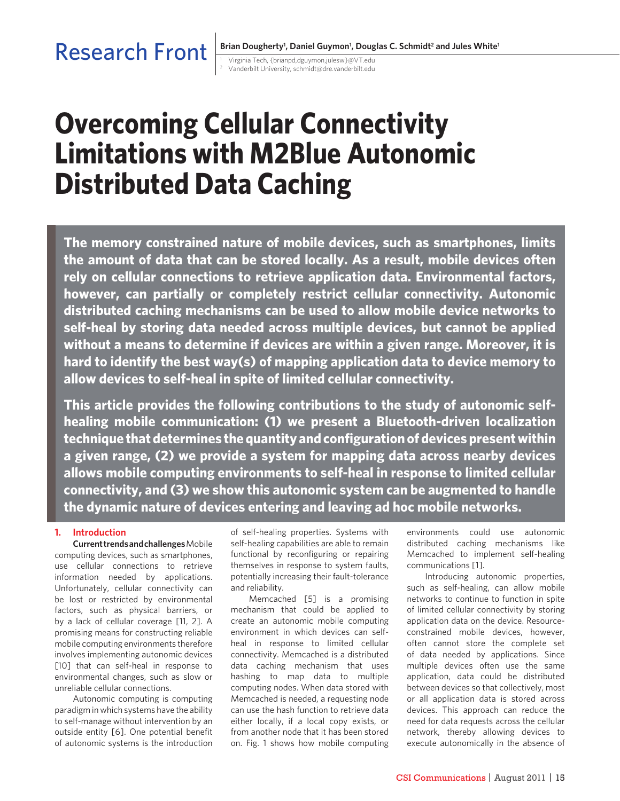# Research Front

<sup>1</sup> Virginia Tech, {brianpd,dguymon,julesw}@VT.edu <sup>2</sup> Vanderbilt University, schmidt@dre.vanderbilt.edu

# **Overcoming Cellular Connectivity Limitations with M2Blue Autonomic Distributed Data Caching**

**The memory constrained nature of mobile devices, such as smartphones, limits the amount of data that can be stored locally. As a result, mobile devices often rely on cellular connections to retrieve application data. Environmental factors, however, can partially or completely restrict cellular connectivity. Autonomic distributed caching mechanisms can be used to allow mobile device networks to self-heal by storing data needed across multiple devices, but cannot be applied without a means to determine if devices are within a given range. Moreover, it is hard to identify the best way(s) of mapping application data to device memory to allow devices to self-heal in spite of limited cellular connectivity.**

**This article provides the following contributions to the study of autonomic selfhealing mobile communication: (1) we present a Bluetooth-driven localization technique that determines the quantity and configuration of devices present within a given range, (2) we provide a system for mapping data across nearby devices allows mobile computing environments to self-heal in response to limited cellular connectivity, and (3) we show this autonomic system can be augmented to handle the dynamic nature of devices entering and leaving ad hoc mobile networks.**

# **1. Introduction**

**Current trends and challenges** Mobile computing devices, such as smartphones, use cellular connections to retrieve information needed by applications. Unfortunately, cellular connectivity can be lost or restricted by environmental factors, such as physical barriers, or by a lack of cellular coverage [11, 2]. A promising means for constructing reliable mobile computing environments therefore involves implementing autonomic devices [10] that can self-heal in response to environmental changes, such as slow or unreliable cellular connections.

Autonomic computing is computing paradigm in which systems have the ability to self-manage without intervention by an outside entity [6]. One potential benefit of autonomic systems is the introduction

of self-healing properties. Systems with self-healing capabilities are able to remain functional by reconfiguring or repairing themselves in response to system faults, potentially increasing their fault-tolerance and reliability.

Memcached [5] is a promising mechanism that could be applied to create an autonomic mobile computing environment in which devices can selfheal in response to limited cellular connectivity. Memcached is a distributed data caching mechanism that uses hashing to map data to multiple computing nodes. When data stored with Memcached is needed, a requesting node can use the hash function to retrieve data either locally, if a local copy exists, or from another node that it has been stored on. Fig. 1 shows how mobile computing environments could use autonomic distributed caching mechanisms like Memcached to implement self-healing communications [1].

Introducing autonomic properties, such as self-healing, can allow mobile networks to continue to function in spite of limited cellular connectivity by storing application data on the device. Resourceconstrained mobile devices, however, often cannot store the complete set of data needed by applications. Since multiple devices often use the same application, data could be distributed between devices so that collectively, most or all application data is stored across devices. This approach can reduce the need for data requests across the cellular network, thereby allowing devices to execute autonomically in the absence of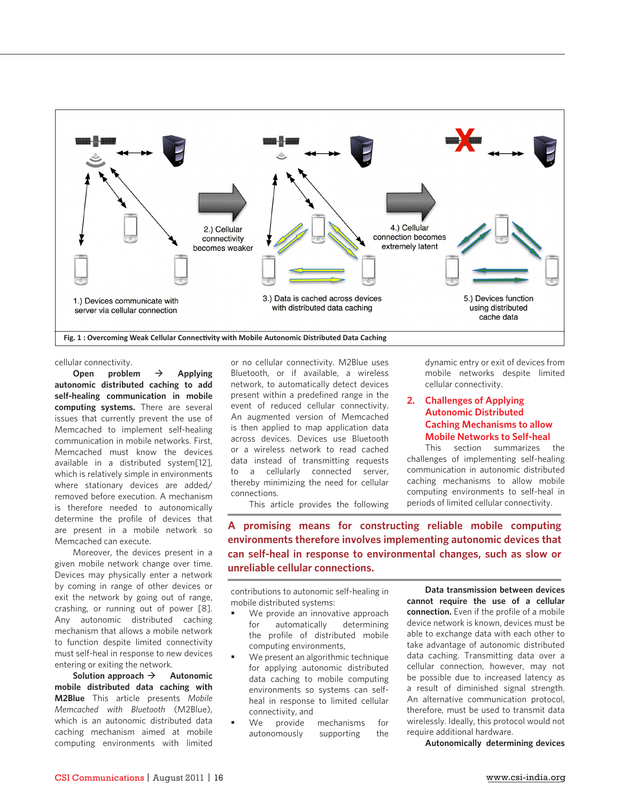

cellular connectivity.

Open problem  $\rightarrow$  Applying **autonomic distributed caching to add self-healing communication in mobile computing systems.** There are several issues that currently prevent the use of Memcached to implement self-healing communication in mobile networks. First, Memcached must know the devices available in a distributed system[12], which is relatively simple in environments where stationary devices are added/ removed before execution. A mechanism is therefore needed to autonomically determine the profile of devices that are present in a mobile network so Memcached can execute.

Moreover, the devices present in a given mobile network change over time. Devices may physically enter a network by coming in range of other devices or exit the network by going out of range, crashing, or running out of power [8]. Any autonomic distributed caching mechanism that allows a mobile network to function despite limited connectivity must self-heal in response to new devices entering or exiting the network.

Solution approach  $\rightarrow$  Autonomic **mobile distributed data caching with M2Blue** This article presents *Mobile Memcached with Bluetooth* (M2Blue), which is an autonomic distributed data caching mechanism aimed at mobile computing environments with limited

or no cellular connectivity. M2Blue uses Bluetooth, or if available, a wireless network, to automatically detect devices present within a predefined range in the event of reduced cellular connectivity. An augmented version of Memcached is then applied to map application data across devices. Devices use Bluetooth or a wireless network to read cached data instead of transmitting requests to a cellularly connected server, thereby minimizing the need for cellular connections.

This article provides the following

dynamic entry or exit of devices from mobile networks despite limited cellular connectivity.

# **2. Challenges of Applying Autonomic Distributed Caching Mechanisms to allow Mobile Networks to Self-heal**

This section summarizes the challenges of implementing self-healing communication in autonomic distributed caching mechanisms to allow mobile computing environments to self-heal in periods of limited cellular connectivity.

**A promising means for constructing reliable mobile computing environments therefore involves implementing autonomic devices that can self-heal in response to environmental changes, such as slow or unreliable cellular connections.**

contributions to autonomic self-healing in mobile distributed systems:

- We provide an innovative approach for automatically determining the profile of distributed mobile computing environments,
- We present an algorithmic technique for applying autonomic distributed data caching to mobile computing environments so systems can selfheal in response to limited cellular connectivity, and
- We provide mechanisms for autonomously supporting the

**Data transmission between devices cannot require the use of a cellular connection.** Even if the profile of a mobile device network is known, devices must be able to exchange data with each other to take advantage of autonomic distributed data caching. Transmitting data over a cellular connection, however, may not be possible due to increased latency as a result of diminished signal strength. An alternative communication protocol, therefore, must be used to transmit data wirelessly. Ideally, this protocol would not require additional hardware.

**Autonomically determining devices**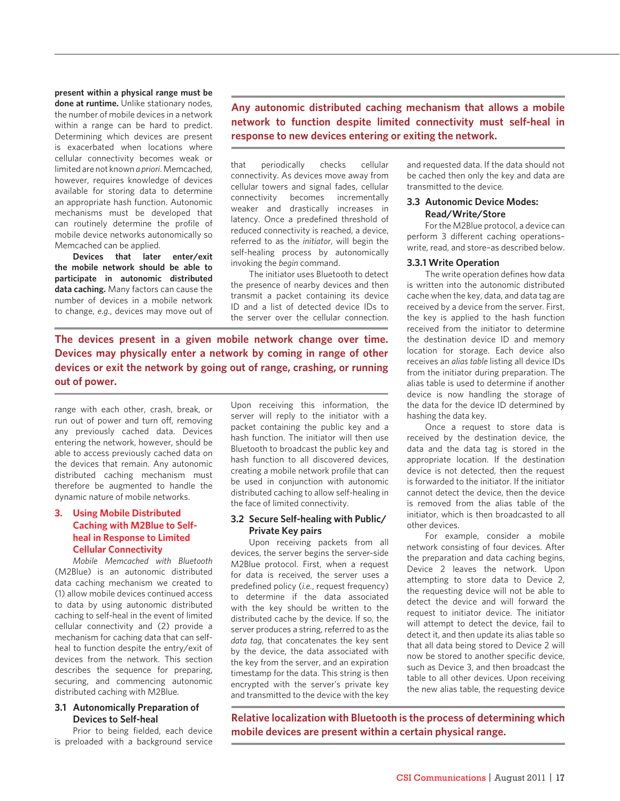**present within a physical range must be** 

**done at runtime.** Unlike stationary nodes, the number of mobile devices in a network within a range can be hard to predict. Determining which devices are present is exacerbated when locations where cellular connectivity becomes weak or limited are not known *a priori*. Memcached, however, requires knowledge of devices available for storing data to determine an appropriate hash function. Autonomic mechanisms must be developed that can routinely determine the profile of mobile device networks autonomically so Memcached can be applied.

**Devices that later enter/exit the mobile network should be able to participate in autonomic distributed data caching.** Many factors can cause the number of devices in a mobile network to change, *e.g.*, devices may move out of

**Any autonomic distributed caching mechanism that allows a mobile network to function despite limited connectivity must self-heal in response to new devices entering or exiting the network.**

that periodically checks cellular connectivity. As devices move away from cellular towers and signal fades, cellular connectivity becomes incrementally weaker and drastically increases in latency. Once a predefined threshold of reduced connectivity is reached, a device, referred to as the *initiator*, will begin the self-healing process by autonomically invoking the *begin* command.

The initiator uses Bluetooth to detect the presence of nearby devices and then transmit a packet containing its device ID and a list of detected device IDs to the server over the cellular connection.

**The devices present in a given mobile network change over time. Devices may physically enter a network by coming in range of other devices or exit the network by going out of range, crashing, or running out of power.**

range with each other, crash, break, or run out of power and turn off, removing any previously cached data. Devices entering the network, however, should be able to access previously cached data on the devices that remain. Any autonomic distributed caching mechanism must therefore be augmented to handle the dynamic nature of mobile networks.

# **3. Using Mobile Distributed Caching with M2Blue to Selfheal in Response to Limited Cellular Connectivity**

*Mobile Memcached with Bluetooth*  (M2Blue) is an autonomic distributed data caching mechanism we created to (1) allow mobile devices continued access to data by using autonomic distributed caching to self-heal in the event of limited cellular connectivity and (2) provide a mechanism for caching data that can selfheal to function despite the entry/exit of devices from the network. This section describes the sequence for preparing, securing, and commencing autonomic distributed caching with M2Blue.

# **3.1 Autonomically Preparation of Devices to Self-heal**

Prior to being fielded, each device is preloaded with a background service

Upon receiving this information, the server will reply to the initiator with a packet containing the public key and a hash function. The initiator will then use Bluetooth to broadcast the public key and hash function to all discovered devices, creating a mobile network profile that can be used in conjunction with autonomic distributed caching to allow self-healing in the face of limited connectivity.

### **3.2 Secure Self-healing with Public/ Private Key pairs**

Upon receiving packets from all devices, the server begins the server-side M2Blue protocol. First, when a request for data is received, the server uses a predefined policy (*i.e.*, request frequency) to determine if the data associated with the key should be written to the distributed cache by the device. If so, the server produces a string, referred to as the *data tag*, that concatenates the key sent by the device, the data associated with the key from the server, and an expiration timestamp for the data. This string is then encrypted with the server's private key and transmitted to the device with the key

and requested data. If the data should not be cached then only the key and data are transmitted to the device.

# **3.3 Autonomic Device Modes: Read/Write/Store**

For the M2Blue protocol, a device can perform 3 different caching operations– write, read, and store–as described below.

#### **3.3.1 Write Operation**

The write operation defines how data is written into the autonomic distributed cache when the key, data, and data tag are received by a device from the server. First, the key is applied to the hash function received from the initiator to determine the destination device ID and memory location for storage. Each device also receives an *alias table* listing all device IDs from the initiator during preparation. The alias table is used to determine if another device is now handling the storage of the data for the device ID determined by hashing the data key.

Once a request to store data is received by the destination device, the data and the data tag is stored in the appropriate location. If the destination device is not detected, then the request is forwarded to the initiator. If the initiator cannot detect the device, then the device is removed from the alias table of the initiator, which is then broadcasted to all other devices.

For example, consider a mobile network consisting of four devices. After the preparation and data caching begins, Device 2 leaves the network. Upon attempting to store data to Device 2, the requesting device will not be able to detect the device and will forward the request to initiator device. The initiator will attempt to detect the device, fail to detect it, and then update its alias table so that all data being stored to Device 2 will now be stored to another specific device, such as Device 3, and then broadcast the table to all other devices. Upon receiving the new alias table, the requesting device

**Relative localization with Bluetooth is the process of determining which mobile devices are present within a certain physical range.**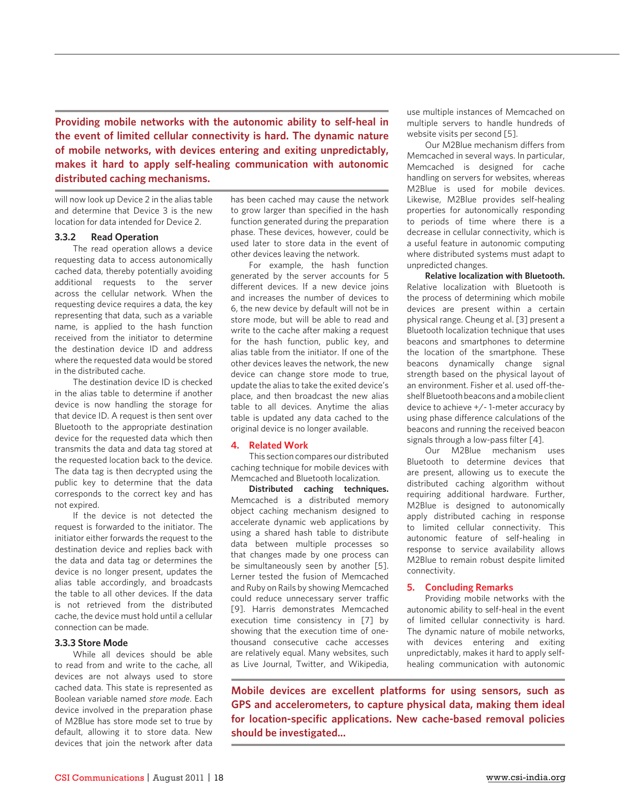**Providing mobile networks with the autonomic ability to self-heal in the event of limited cellular connectivity is hard. The dynamic nature of mobile networks, with devices entering and exiting unpredictably, makes it hard to apply self-healing communication with autonomic distributed caching mechanisms.**

will now look up Device 2 in the alias table and determine that Device 3 is the new location for data intended for Device 2.

#### **3.3.2 Read Operation**

The read operation allows a device requesting data to access autonomically cached data, thereby potentially avoiding additional requests to the server across the cellular network. When the requesting device requires a data, the key representing that data, such as a variable name, is applied to the hash function received from the initiator to determine the destination device ID and address where the requested data would be stored in the distributed cache.

The destination device ID is checked in the alias table to determine if another device is now handling the storage for that device ID. A request is then sent over Bluetooth to the appropriate destination device for the requested data which then transmits the data and data tag stored at the requested location back to the device. The data tag is then decrypted using the public key to determine that the data corresponds to the correct key and has not expired.

If the device is not detected the request is forwarded to the initiator. The initiator either forwards the request to the destination device and replies back with the data and data tag or determines the device is no longer present, updates the alias table accordingly, and broadcasts the table to all other devices. If the data is not retrieved from the distributed cache, the device must hold until a cellular connection can be made.

#### **3.3.3 Store Mode**

While all devices should be able to read from and write to the cache, all devices are not always used to store cached data. This state is represented as Boolean variable named *store mode*. Each device involved in the preparation phase of M2Blue has store mode set to true by default, allowing it to store data. New devices that join the network after data

has been cached may cause the network to grow larger than specified in the hash function generated during the preparation phase. These devices, however, could be used later to store data in the event of other devices leaving the network.

For example, the hash function generated by the server accounts for 5 different devices. If a new device joins and increases the number of devices to 6, the new device by default will not be in store mode, but will be able to read and write to the cache after making a request for the hash function, public key, and alias table from the initiator. If one of the other devices leaves the network, the new device can change store mode to true, update the alias to take the exited device's place, and then broadcast the new alias table to all devices. Anytime the alias table is updated any data cached to the original device is no longer available.

#### **4. Related Work**

This section compares our distributed caching technique for mobile devices with Memcached and Bluetooth localization.

**Distributed caching techniques.**  Memcached is a distributed memory object caching mechanism designed to accelerate dynamic web applications by using a shared hash table to distribute data between multiple processes so that changes made by one process can be simultaneously seen by another [5]. Lerner tested the fusion of Memcached and Ruby on Rails by showing Memcached could reduce unnecessary server traffic [9]. Harris demonstrates Memcached execution time consistency in [7] by showing that the execution time of onethousand consecutive cache accesses are relatively equal. Many websites, such as Live Journal, Twitter, and Wikipedia,

use multiple instances of Memcached on multiple servers to handle hundreds of website visits per second [5].

Our M2Blue mechanism differs from Memcached in several ways. In particular, Memcached is designed for cache handling on servers for websites, whereas M2Blue is used for mobile devices. Likewise, M2Blue provides self-healing properties for autonomically responding to periods of time where there is a decrease in cellular connectivity, which is a useful feature in autonomic computing where distributed systems must adapt to unpredicted changes.

**Relative localization with Bluetooth.** Relative localization with Bluetooth is the process of determining which mobile devices are present within a certain physical range. Cheung et al. [3] present a Bluetooth localization technique that uses beacons and smartphones to determine the location of the smartphone. These beacons dynamically change signal strength based on the physical layout of an environment. Fisher et al. used off-theshelf Bluetooth beacons and a mobile client device to achieve +/- 1-meter accuracy by using phase difference calculations of the beacons and running the received beacon signals through a low-pass filter [4].

Our M2Blue mechanism uses Bluetooth to determine devices that are present, allowing us to execute the distributed caching algorithm without requiring additional hardware. Further, M2Blue is designed to autonomically apply distributed caching in response to limited cellular connectivity. This autonomic feature of self-healing in response to service availability allows M2Blue to remain robust despite limited connectivity.

#### **5. Concluding Remarks**

Providing mobile networks with the autonomic ability to self-heal in the event of limited cellular connectivity is hard. The dynamic nature of mobile networks, with devices entering and exiting unpredictably, makes it hard to apply selfhealing communication with autonomic

**Mobile devices are excellent platforms for using sensors, such as GPS and accelerometers, to capture physical data, making them ideal for location-specific applications. New cache-based removal policies should be investigated...**